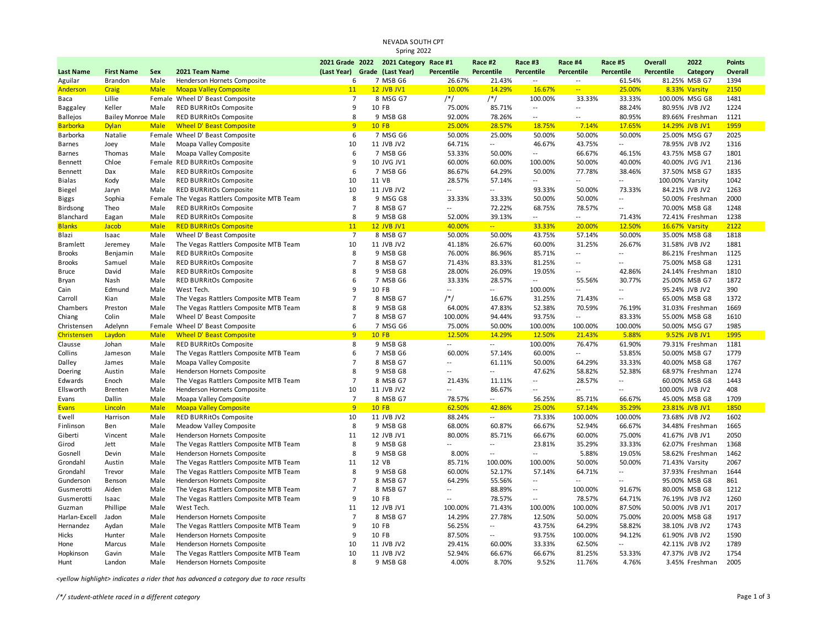## NEVADA SOUTH CPT Spring 2022

|                    |                           |              |                                                       |                               | 2021 Grade 2022 2021 Category Race #1 |                          | Race #2                  | Race #3                  | Race #4                     | Race #5                  | Overall         | 2022                           | <b>Points</b> |
|--------------------|---------------------------|--------------|-------------------------------------------------------|-------------------------------|---------------------------------------|--------------------------|--------------------------|--------------------------|-----------------------------|--------------------------|-----------------|--------------------------------|---------------|
| <b>Last Name</b>   | <b>First Name</b>         | Sex          | 2021 Team Name                                        | (Last Year) Grade (Last Year) |                                       | Percentile               | Percentile               | Percentile               | <b>Percentile</b>           | Percentile               | Percentile      | Category                       | Overall       |
| Aguilar            | Brandon                   | Male         | Henderson Hornets Composite                           | 6                             | 7 MSB G6                              | 26.67%                   | 21.43%                   | $\overline{a}$           | $\sim$ $\sim$               | 61.54%                   |                 | 81.25% MSB G7                  | 1394          |
| Anderson           | <b>Craig</b>              | <b>Male</b>  | <b>Moapa Valley Composite</b>                         | 11                            | <b>12 JVB JV1</b>                     | 10.00%                   | 14.29%                   | 16.67%                   | $\mathbb{Z}^{\mathbb{Z}_2}$ | 25.00%                   |                 | 8.33% Varsity                  | 2150          |
| Baca               | Lillie                    |              | Female Wheel D' Beast Composite                       | $\overline{7}$                | 8 MSG G7                              | $/*/$                    | $/*/$                    | 100.00%                  | 33.33%                      | 33.33%                   |                 | 100.00% MSG G8                 | 1481          |
| Baggaley           | Keller                    | Male         | RED BURRitOs Composite                                | 9                             | 10 FB                                 | 75.00%                   | 85.71%                   | $\overline{a}$           | $\sim$                      | 88.24%                   |                 | 80.95% JVB JV2                 | 1224          |
| <b>Ballejos</b>    | <b>Bailey Monroe Male</b> |              | <b>RED BURRitOs Composite</b>                         | 8                             | 9 MSB G8                              | 92.00%                   | 78.26%                   | $\overline{\phantom{a}}$ | $\sim$ $\sim$               | 80.95%                   |                 | 89.66% Freshman                | 1121          |
| <b>Barborka</b>    | <b>Dylan</b>              | <b>Male</b>  | <b>Wheel D' Beast Composite</b>                       | 9                             | $10$ FB                               | 25.00%                   | 28.57%                   | 18.75%                   | 7.14%                       | 17.65%                   |                 | 14.29% JVB JV1                 | 1959          |
| Barborka           | Natalie                   |              | Female Wheel D' Beast Composite                       | 6                             | 7 MSG G6                              | 50.00%                   | 25.00%                   | 50.00%                   | 50.00%                      | 50.00%                   |                 | 25.00% MSG G7                  | 2025          |
| Barnes             | Joey                      | Male         | Moapa Valley Composite                                | 10                            | 11 JVB JV2                            | 64.71%                   | $\overline{a}$           | 46.67%                   | 43.75%                      | $\overline{a}$           |                 | 78.95% JVB JV2                 | 1316          |
| Barnes             | Thomas                    | Male         | Moapa Valley Composite                                | 6                             | 7 MSB G6                              | 53.33%                   | 50.00%                   | $\overline{\phantom{a}}$ | 66.67%                      | 46.15%                   |                 | 43.75% MSB G7                  | 1801          |
| Bennett            | Chloe                     |              | Female RED BURRitOs Composite                         | 9                             | 10 JVG JV1                            | 60.00%                   | 60.00%                   | 100.00%                  | 50.00%                      | 40.00%                   |                 | 40.00% JVG JV1                 | 2136          |
| Bennett            | Dax                       | Male         | RED BURRitOs Composite                                | 6                             | 7 MSB G6                              | 86.67%                   | 64.29%                   | 50.00%                   | 77.78%                      | 38.46%                   |                 | 37.50% MSB G7                  | 1835          |
| Bialas             | Kody                      | Male         | <b>RED BURRitOs Composite</b>                         | 10                            | 11 VB                                 | 28.57%                   | 57.14%                   | $\overline{\phantom{a}}$ | $\sim$                      | $\sim$                   | 100.00% Varsity |                                | 1042          |
| Biegel             | Jaryn                     | Male         | RED BURRitOs Composite                                | 10                            | 11 JVB JV2                            | Ξ.                       | $\overline{\phantom{a}}$ | 93.33%                   | 50.00%                      | 73.33%                   |                 | 84.21% JVB JV2                 | 1263          |
| Biggs              | Sophia                    |              | Female The Vegas Rattlers Composite MTB Team          | 8                             | 9 MSG G8                              | 33.33%                   | 33.33%                   | 50.00%                   | 50.00%                      | $\sim$                   |                 | 50.00% Freshman                | 2000          |
| Birdsong           | Theo                      | Male         | RED BURRitOs Composite                                | $\overline{7}$                | 8 MSB G7                              | --                       | 72.22%                   | 68.75%                   | 78.57%                      | $\overline{\phantom{a}}$ |                 | 70.00% MSB G8                  | 1248          |
| Blanchard          | Eagan                     | Male         | RED BURRitOs Composite                                | 8                             | 9 MSB G8                              | 52.00%                   | 39.13%                   | $\overline{\phantom{a}}$ | $\sim$                      | 71.43%                   |                 | 72.41% Freshman                | 1238          |
| <b>Blanks</b>      | Jacob                     | <b>Male</b>  | <b>RED BURRitOs Composite</b>                         | 11                            | <b>12 JVB JV1</b>                     | 40.00%                   | $-1$                     | 33.33%                   | 20.00%                      | 12.50%                   |                 | 16.67% Varsity                 | 2122          |
| Blazi              | Isaac                     | Male         | Wheel D' Beast Composite                              | $\overline{7}$                | 8 MSB G7                              | 50.00%                   | 50.00%                   | 43.75%                   | 57.14%                      | 50.00%                   |                 | 35.00% MSB G8                  | 1818          |
| <b>Bramlett</b>    | Jeremey                   | Male         | The Vegas Rattlers Composite MTB Team                 | 10                            | 11 JVB JV2                            | 41.18%                   | 26.67%                   | 60.00%                   | 31.25%                      | 26.67%                   |                 | 31.58% JVB JV2                 | 1881          |
| <b>Brooks</b>      | Benjamin                  | Male         | <b>RED BURRitOs Composite</b>                         | 8                             | 9 MSB G8                              | 76.00%                   | 86.96%                   | 85.71%                   | $\sim$                      | $\overline{a}$           |                 | 86.21% Freshman                | 1125          |
| <b>Brooks</b>      | Samuel                    | Male         | <b>RED BURRitOs Composite</b>                         | $\overline{7}$                | 8 MSB G7                              | 71.43%                   | 83.33%                   | 81.25%                   | $\overline{\phantom{a}}$    | $\overline{a}$           |                 | 75.00% MSB G8                  | 1231          |
| <b>Bruce</b>       | David                     | Male         | <b>RED BURRitOs Composite</b>                         | 8                             | 9 MSB G8                              | 28.00%                   | 26.09%                   | 19.05%                   | $\overline{a}$              | 42.86%                   |                 | 24.14% Freshman                | 1810          |
| Bryan              | Nash                      | Male         | RED BURRitOs Composite                                | 6                             | 7 MSB G6                              | 33.33%                   | 28.57%                   | $\overline{a}$           | 55.56%                      | 30.77%                   |                 | 25.00% MSB G7                  | 1872          |
| Cain               | Edmund                    | Male         | West Tech.                                            | 9                             | 10 FB                                 | $\overline{\phantom{a}}$ | --                       | 100.00%                  | $\sim$                      | $\overline{a}$           |                 | 95.24% JVB JV2                 | 390           |
| Carroll            | Kian                      | Male         | The Vegas Rattlers Composite MTB Team                 | $\overline{7}$                | 8 MSB G7                              | $/*/$                    | 16.67%                   | 31.25%                   | 71.43%                      | $\overline{a}$           |                 | 65.00% MSB G8                  | 1372          |
| Chambers           | Preston                   | Male         | The Vegas Rattlers Composite MTB Team                 | 8                             | 9 MSB G8                              | 64.00%                   | 47.83%                   | 52.38%                   | 70.59%                      | 76.19%                   |                 | 31.03% Freshman                | 1669          |
| Chiang             | Colin                     | Male         | Wheel D' Beast Composite                              | $\overline{7}$                | 8 MSB G7                              | 100.00%                  | 94.44%                   | 93.75%                   | $\sim$                      | 83.33%                   |                 | 55.00% MSB G8                  | 1610          |
| Christensen        | Adelynn                   | Female       | Wheel D' Beast Composite                              | 6                             | 7 MSG G6                              | 75.00%                   | 50.00%                   | 100.00%                  | 100.00%                     | 100.00%                  |                 | 50.00% MSG G7                  | 1985          |
| Christensen        | Laydon                    | <b>Male</b>  | <b>Wheel D' Beast Composite</b>                       | 9<br>8                        | <b>10 FB</b>                          | 12.50%                   | 14.29%                   | 12.50%                   | 21.43%                      | 5.88%                    |                 | 9.52% JVB JV1                  | 1995<br>1181  |
| Clausse            | Johan                     | Male         | RED BURRitOs Composite                                | 6                             | 9 MSB G8<br>7 MSB G6                  | --<br>60.00%             | --<br>57.14%             | 100.00%                  | 76.47%                      | 61.90%<br>53.85%         |                 | 79.31% Freshman                | 1779          |
| Collins            | Jameson                   | Male         | The Vegas Rattlers Composite MTB Team                 | $\overline{7}$                | 8 MSB G7                              | $\overline{a}$           | 61.11%                   | 60.00%<br>50.00%         | $\sim$<br>64.29%            | 33.33%                   |                 | 50.00% MSB G7<br>40.00% MSB G8 | 1767          |
| Dalley             | James<br>Austin           | Male<br>Male | Moapa Valley Composite<br>Henderson Hornets Composite | 8                             | 9 MSB G8                              | $\overline{a}$           | Ξ.                       | 47.62%                   | 58.82%                      | 52.38%                   |                 | 68.97% Freshman                | 1274          |
| Doering<br>Edwards | Enoch                     | Male         | The Vegas Rattlers Composite MTB Team                 | $\overline{7}$                | 8 MSB G7                              | 21.43%                   | 11.11%                   | $\overline{\phantom{a}}$ | 28.57%                      | $\overline{a}$           |                 | 60.00% MSB G8                  | 1443          |
| Ellsworth          | <b>Brenten</b>            | Male         | Henderson Hornets Composite                           | 10                            | 11 JVB JV2                            |                          | 86.67%                   | $\overline{a}$           | $\overline{\phantom{a}}$    | $\overline{a}$           | 100.00% JVB JV2 |                                | 408           |
| Evans              | Dallin                    | Male         | Moapa Valley Composite                                | $\overline{7}$                | 8 MSB G7                              | 78.57%                   | $\sim$                   | 56.25%                   | 85.71%                      | 66.67%                   |                 | 45.00% MSB G8                  | 1709          |
| <b>Evans</b>       | Lincoln                   | <b>Male</b>  | <b>Moapa Valley Composite</b>                         | 9                             | <b>10 FB</b>                          | 62.50%                   | 42.86%                   | 25.00%                   | 57.14%                      | 35.29%                   |                 | 23.81% JVB JV1                 | 1850          |
| Ewell              | Harrison                  | Male         | RED BURRitOs Composite                                | 10                            | 11 JVB JV2                            | 88.24%                   | $\sim$                   | 73.33%                   | 100.00%                     | 100.00%                  |                 | 73.68% JVB JV2                 | 1602          |
| Finlinson          | Ben                       | Male         | Meadow Valley Composite                               | 8                             | 9 MSB G8                              | 68.00%                   | 60.87%                   | 66.67%                   | 52.94%                      | 66.67%                   |                 | 34.48% Freshman                | 1665          |
| Giberti            | Vincent                   | Male         | Henderson Hornets Composite                           | 11                            | 12 JVB JV1                            | 80.00%                   | 85.71%                   | 66.67%                   | 60.00%                      | 75.00%                   |                 | 41.67% JVB JV1                 | 2050          |
| Girod              | Jett                      | Male         | The Vegas Rattlers Composite MTB Team                 | 8                             | 9 MSB G8                              | $\overline{a}$           | $\overline{\phantom{a}}$ | 23.81%                   | 35.29%                      | 33.33%                   |                 | 62.07% Freshman                | 1368          |
| Gosnell            | Devin                     | Male         | Henderson Hornets Composite                           | 8                             | 9 MSB G8                              | 8.00%                    | $\overline{a}$           | $\overline{a}$           | 5.88%                       | 19.05%                   |                 | 58.62% Freshman                | 1462          |
| Grondahl           | Austin                    | Male         | The Vegas Rattlers Composite MTB Team                 | 11                            | 12 VB                                 | 85.71%                   | 100.00%                  | 100.00%                  | 50.00%                      | 50.00%                   |                 | 71.43% Varsity                 | 2067          |
| Grondahl           | Trevor                    | Male         | The Vegas Rattlers Composite MTB Team                 | 8                             | 9 MSB G8                              | 60.00%                   | 52.17%                   | 57.14%                   | 64.71%                      | $\overline{\phantom{a}}$ |                 | 37.93% Freshman                | 1644          |
| Gunderson          | Benson                    | Male         | Henderson Hornets Composite                           | $\overline{7}$                | 8 MSB G7                              | 64.29%                   | 55.56%                   | $\overline{a}$           | $\sim$                      | $\overline{a}$           |                 | 95.00% MSB G8                  | 861           |
| Gusmerotti         | Aiden                     | Male         | The Vegas Rattlers Composite MTB Team                 | $\overline{7}$                | 8 MSB G7                              | $\overline{a}$           | 88.89%                   | $\overline{\phantom{a}}$ | 100.00%                     | 91.67%                   |                 | 80.00% MSB G8                  | 1212          |
| Gusmerotti         | Isaac                     | Male         | The Vegas Rattlers Composite MTB Team                 | 9                             | 10 FB                                 |                          | 78.57%                   | $\overline{\phantom{a}}$ | 78.57%                      | 64.71%                   |                 | 76.19% JVB JV2                 | 1260          |
| Guzman             | Phillipe                  | Male         | West Tech.                                            | 11                            | 12 JVB JV1                            | 100.00%                  | 71.43%                   | 100.00%                  | 100.00%                     | 87.50%                   |                 | 50.00% JVB JV1                 | 2017          |
| Harlan-Excell      | Jadon                     | Male         | Henderson Hornets Composite                           | $\overline{7}$                | 8 MSB G7                              | 14.29%                   | 27.78%                   | 12.50%                   | 50.00%                      | 75.00%                   |                 | 20.00% MSB G8                  | 1917          |
| Hernandez          | Aydan                     | Male         | The Vegas Rattlers Composite MTB Team                 | 9                             | 10 FB                                 | 56.25%                   | $\overline{a}$           | 43.75%                   | 64.29%                      | 58.82%                   |                 | 38.10% JVB JV2                 | 1743          |
| Hicks              | Hunter                    | Male         | Henderson Hornets Composite                           | 9                             | 10 FB                                 | 87.50%                   | $\overline{\phantom{a}}$ | 93.75%                   | 100.00%                     | 94.12%                   |                 | 61.90% JVB JV2                 | 1590          |
| Hone               | Marcus                    | Male         | Henderson Hornets Composite                           | 10                            | 11 JVB JV2                            | 29.41%                   | 60.00%                   | 33.33%                   | 62.50%                      | $\overline{a}$           |                 | 42.11% JVB JV2                 | 1789          |
| Hopkinson          | Gavin                     | Male         | The Vegas Rattlers Composite MTB Team                 | 10                            | 11 JVB JV2                            | 52.94%                   | 66.67%                   | 66.67%                   | 81.25%                      | 53.33%                   |                 | 47.37% JVB JV2                 | 1754          |
| Hunt               | Landon                    | Male         | Henderson Hornets Composite                           | 8                             | 9 MSB G8                              | 4.00%                    | 8.70%                    | 9.52%                    | 11.76%                      | 4.76%                    |                 | 3.45% Freshman                 | 2005          |

*<yellow highlight> indicates a rider that has advanced a category due to race results*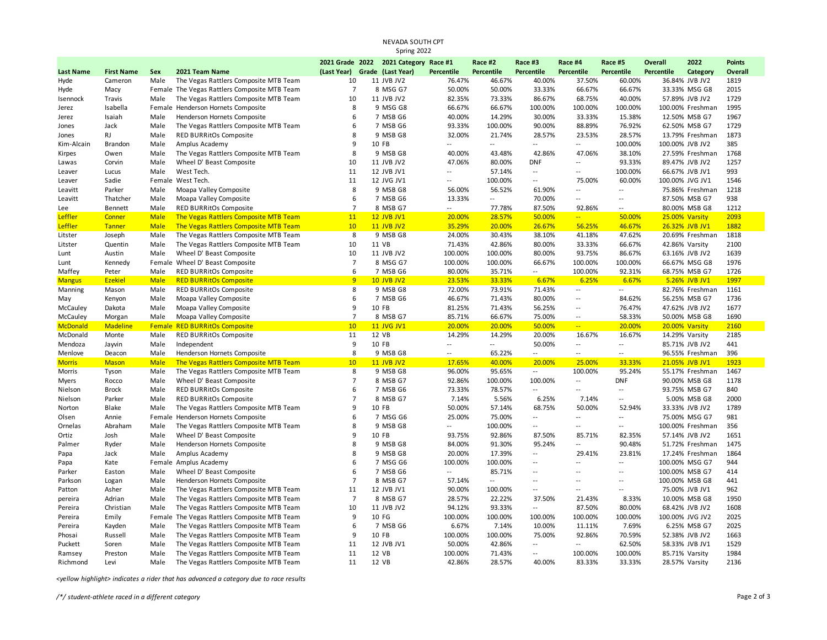## NEVADA SOUTH CPT Spring 2022

|                      |                   |              |                                                  |                               | 2021 Grade 2022 2021 Category Race #1 |                          | Race #2                  | Race #3                  | Race #4                           | Race #5                  | <b>Overall</b>    | 2022                             | <b>Points</b> |
|----------------------|-------------------|--------------|--------------------------------------------------|-------------------------------|---------------------------------------|--------------------------|--------------------------|--------------------------|-----------------------------------|--------------------------|-------------------|----------------------------------|---------------|
| <b>Last Name</b>     | <b>First Name</b> | Sex          | 2021 Team Name                                   | (Last Year) Grade (Last Year) |                                       | <b>Percentile</b>        | <b>Percentile</b>        | <b>Percentile</b>        | <b>Percentile</b>                 | <b>Percentile</b>        | <b>Percentile</b> | Category                         | Overall       |
| Hyde                 | Cameron           | Male         | The Vegas Rattlers Composite MTB Team            | 10                            | 11 JVB JV2                            | 76.47%                   | 46.67%                   | 40.00%                   | 37.50%                            | 60.00%                   |                   | 36.84% JVB JV2                   | 1819          |
| Hyde                 | Macy              |              | Female The Vegas Rattlers Composite MTB Team     | $\overline{7}$                | 8 MSG G7                              | 50.00%                   | 50.00%                   | 33.33%                   | 66.67%                            | 66.67%                   |                   | 33.33% MSG G8                    | 2015          |
| Isennock             | Travis            | Male         | The Vegas Rattlers Composite MTB Team            | 10                            | 11 JVB JV2                            | 82.35%                   | 73.33%                   | 86.67%                   | 68.75%                            | 40.00%                   |                   | 57.89% JVB JV2                   | 1729          |
| Jerez                | Isabella          |              | Female Henderson Hornets Composite               | 8                             | 9 MSG G8                              | 66.67%                   | 66.67%                   | 100.00%                  | 100.00%                           | 100.00%                  |                   | 100.00% Freshman                 | 1995          |
| Jerez                | Isaiah            | Male         | Henderson Hornets Composite                      | 6                             | 7 MSB G6                              | 40.00%                   | 14.29%                   | 30.00%                   | 33.33%                            | 15.38%                   |                   | 12.50% MSB G7                    | 1967          |
| Jones                | Jack              | Male         | The Vegas Rattlers Composite MTB Team            | 6                             | 7 MSB G6                              | 93.33%                   | 100.00%                  | 90.00%                   | 88.89%                            | 76.92%                   |                   | 62.50% MSB G7                    | 1729          |
| Jones                | <b>RJ</b>         | Male         | RED BURRitOs Composite                           | 8                             | 9 MSB G8                              | 32.00%                   | 21.74%                   | 28.57%                   | 23.53%                            | 28.57%                   |                   | 13.79% Freshman                  | 1873          |
| Kim-Alcain           | <b>Brandon</b>    | Male         | Amplus Academy                                   | 9                             | 10 FB                                 |                          | $\sim$                   | $\sim$ $\sim$            | $\overline{a}$                    | 100.00%                  |                   | 100.00% JVB JV2                  | 385           |
| Kirpes               | Owen              | Male         | The Vegas Rattlers Composite MTB Team            | 8                             | 9 MSB G8                              | 40.00%                   | 43.48%                   | 42.86%                   | 47.06%                            | 38.10%                   |                   | 27.59% Freshman                  | 1768          |
| Lawas                | Corvin            | Male         | Wheel D' Beast Composite                         | 10                            | 11 JVB JV2                            | 47.06%                   | 80.00%                   | <b>DNF</b>               | $\overline{\phantom{a}}$          | 93.33%                   |                   | 89.47% JVB JV2                   | 1257          |
| Leaver               | Lucus             | Male         | West Tech.                                       | 11                            | 12 JVB JV1                            | $\overline{a}$           | 57.14%                   | $\sim$                   | $\overline{a}$                    | 100.00%                  |                   | 66.67% JVB JV1                   | 993           |
| Leaver               | Sadie             |              | Female West Tech.                                | 11                            | 12 JVG JV1                            | $\overline{\phantom{a}}$ | 100.00%                  | $\sim$                   | 75.00%                            | 60.00%                   |                   | 100.00% JVG JV1                  | 1546          |
| Leavitt              | Parker            | Male         | Moapa Valley Composite                           | 8                             | 9 MSB G8                              | 56.00%                   | 56.52%                   | 61.90%                   | $\overline{a}$                    | $\overline{a}$           |                   | 75.86% Freshman                  | 1218          |
| Leavitt              | Thatcher          | Male         | Moapa Valley Composite                           | 6                             | 7 MSB G6                              | 13.33%                   | $\overline{a}$           | 70.00%                   | $\overline{\phantom{a}}$          | $\overline{a}$           |                   | 87.50% MSB G7                    | 938           |
| Lee                  | Bennett           | Male         | <b>RED BURRitOs Composite</b>                    | $\overline{7}$                | 8 MSB G7                              | $\overline{\phantom{a}}$ | 77.78%                   | 87.50%                   | 92.86%                            | $\overline{\phantom{a}}$ |                   | 80.00% MSB G8                    | 1212          |
| Leffler              | Conner            | <b>Male</b>  | The Vegas Rattlers Composite MTB Team            | 11                            | <b>12 JVB JV1</b>                     | 20.00%                   | 28.57%                   | 50.00%                   | $\overline{a}$                    | 50.00%                   |                   | 25.00% Varsity                   | 2093          |
| Leffler              | <b>Tanner</b>     | <b>Male</b>  | The Vegas Rattlers Composite MTB Team            | 10                            | <b>11 JVB JV2</b>                     | 35.29%                   | 20.00%                   | 26.67%                   | 56.25%                            | 46.67%                   |                   | 26.32% JVB JV1                   | 1882          |
| Litster              | Joseph            | Male         | The Vegas Rattlers Composite MTB Team            | 8                             | 9 MSB G8                              | 24.00%                   | 30.43%                   | 38.10%                   | 41.18%                            | 47.62%                   |                   | 20.69% Freshman                  | 1818          |
| Litster              | Quentin           | Male         | The Vegas Rattlers Composite MTB Team            | 10                            | 11 VB                                 | 71.43%                   | 42.86%                   | 80.00%                   | 33.33%                            | 66.67%                   |                   | 42.86% Varsity                   | 2100          |
| Lunt                 | Austin            | Male         | Wheel D' Beast Composite                         | 10                            | 11 JVB JV2                            | 100.00%                  | 100.00%                  | 80.00%                   | 93.75%                            | 86.67%                   |                   | 63.16% JVB JV2                   | 1639          |
| Lunt                 | Kennedy           |              | Female Wheel D' Beast Composite                  | $\overline{7}$                | 8 MSG G7                              | 100.00%                  | 100.00%                  | 66.67%                   | 100.00%                           | 100.00%                  |                   | 66.67% MSG G8                    | 1976          |
| Maffey               | Peter             | Male         | RED BURRitOs Composite                           | 6                             | 7 MSB G6                              | 80.00%                   | 35.71%                   | $\overline{\phantom{a}}$ | 100.00%                           | 92.31%                   |                   | 68.75% MSB G7                    | 1726          |
| <b>Mangus</b>        | <b>Ezekiel</b>    | <b>Male</b>  | <b>RED BURRitOs Composite</b>                    | 9<br>8                        | <b>10 JVB JV2</b><br>9 MSB G8         | 23.53%                   | 33.33%<br>73.91%         | 6.67%                    | 6.25%<br>$\overline{\phantom{a}}$ | 6.67%<br>$\overline{a}$  |                   | 5.26% JVB JV1                    | 1997<br>1161  |
| Manning              | Mason             | Male         | <b>RED BURRitOs Composite</b>                    | 6                             | 7 MSB G6                              | 72.00%<br>46.67%         | 71.43%                   | 71.43%<br>80.00%         | $\sim$                            | 84.62%                   |                   | 82.76% Freshman<br>56.25% MSB G7 | 1736          |
| May                  | Kenyon<br>Dakota  | Male<br>Male | Moapa Valley Composite<br>Moapa Valley Composite | 9                             | 10 FB                                 | 81.25%                   | 71.43%                   | 56.25%                   | $\sim$                            | 76.47%                   |                   | 47.62% JVB JV2                   | 1677          |
| McCauley<br>McCauley | Morgan            | Male         | Moapa Valley Composite                           | $\overline{7}$                | 8 MSB G7                              | 85.71%                   | 66.67%                   | 75.00%                   | $\overline{\phantom{a}}$          | 58.33%                   |                   | 50.00% MSB G8                    | 1690          |
| McDonald             | <b>Madeline</b>   |              | <b>Female RED BURRitOs Composite</b>             | 10                            | <b>11 JVG JV1</b>                     | 20.00%                   | 20.00%                   | 50.00%                   | $\rightarrow$                     | 20.00%                   |                   | 20.00% Varsity                   | 2160          |
| McDonald             | Monte             | Male         | <b>RED BURRItOs Composite</b>                    | 11                            | 12 VB                                 | 14.29%                   | 14.29%                   | 20.00%                   | 16.67%                            | 16.67%                   |                   | 14.29% Varsity                   | 2185          |
| Mendoza              | Jayvin            | Male         | Independent                                      | 9                             | 10 FB                                 | $\overline{a}$           | $\sim$                   | 50.00%                   | $\overline{\phantom{a}}$          | $\overline{a}$           |                   | 85.71% JVB JV2                   | 441           |
| Menlove              | Deacon            | Male         | Henderson Hornets Composite                      | 8                             | 9 MSB G8                              | $\overline{\phantom{a}}$ | 65.22%                   | $\overline{a}$           | $\overline{\phantom{a}}$          | $-$                      |                   | 96.55% Freshman                  | 396           |
| <b>Morris</b>        | <b>Mason</b>      | <b>Male</b>  | The Vegas Rattlers Composite MTB Team            | 10                            | <b>11 JVB JV2</b>                     | 17.65%                   | 40.00%                   | 20.00%                   | 25.00%                            | 33.33%                   |                   | 21.05% JVB JV1                   | 1923          |
| Morris               | Tyson             | Male         | The Vegas Rattlers Composite MTB Team            | 8                             | 9 MSB G8                              | 96.00%                   | 95.65%                   | $\sim$                   | 100.00%                           | 95.24%                   |                   | 55.17% Freshman                  | 1467          |
| Myers                | Rocco             | Male         | Wheel D' Beast Composite                         | $\overline{7}$                | 8 MSB G7                              | 92.86%                   | 100.00%                  | 100.00%                  | $\overline{\phantom{a}}$          | <b>DNF</b>               |                   | 90.00% MSB G8                    | 1178          |
| Nielson              | <b>Brock</b>      | Male         | RED BURRitOs Composite                           | 6                             | 7 MSB G6                              | 73.33%                   | 78.57%                   | $\sim$                   | $\overline{a}$                    | --                       |                   | 93.75% MSB G7                    | 840           |
| Nielson              | Parker            | Male         | <b>RED BURRitOs Composite</b>                    | $\overline{7}$                | 8 MSB G7                              | 7.14%                    | 5.56%                    | 6.25%                    | 7.14%                             | $\overline{a}$           |                   | 5.00% MSB G8                     | 2000          |
| Norton               | Blake             | Male         | The Vegas Rattlers Composite MTB Team            | 9                             | 10 FB                                 | 50.00%                   | 57.14%                   | 68.75%                   | 50.00%                            | 52.94%                   |                   | 33.33% JVB JV2                   | 1789          |
| Olsen                | Annie             | Female       | Henderson Hornets Composite                      | 6                             | 7 MSG G6                              | 25.00%                   | 75.00%                   | $\overline{\phantom{a}}$ | $\overline{a}$                    | $\overline{a}$           |                   | 75.00% MSG G7                    | 981           |
| Ornelas              | Abraham           | Male         | The Vegas Rattlers Composite MTB Team            | 8                             | 9 MSB G8                              | $\overline{\phantom{a}}$ | 100.00%                  | $\overline{a}$           | --                                | $\overline{a}$           |                   | 100.00% Freshman                 | 356           |
| Ortiz                | Josh              | Male         | Wheel D' Beast Composite                         | 9                             | 10 FB                                 | 93.75%                   | 92.86%                   | 87.50%                   | 85.71%                            | 82.35%                   |                   | 57.14% JVB JV2                   | 1651          |
| Palmer               | Ryder             | Male         | Henderson Hornets Composite                      | 8                             | 9 MSB G8                              | 84.00%                   | 91.30%                   | 95.24%                   | $\overline{a}$                    | 90.48%                   |                   | 51.72% Freshman                  | 1475          |
| Papa                 | Jack              | Male         | Amplus Academy                                   | 8                             | 9 MSB G8                              | 20.00%                   | 17.39%                   | $\overline{\phantom{a}}$ | 29.41%                            | 23.81%                   |                   | 17.24% Freshman                  | 1864          |
| Papa                 | Kate              |              | Female Amplus Academy                            | 6                             | 7 MSG G6                              | 100.00%                  | 100.00%                  | $\overline{a}$           | $\overline{a}$                    | $\overline{a}$           |                   | 100.00% MSG G7                   | 944           |
| Parker               | Easton            | Male         | Wheel D' Beast Composite                         | 6                             | 7 MSB G6                              | $\overline{\phantom{a}}$ | 85.71%                   | $\overline{\phantom{a}}$ | $\overline{a}$                    | $\overline{a}$           |                   | 100.00% MSB G7                   | 414           |
| Parkson              | Logan             | Male         | Henderson Hornets Composite                      | $\overline{7}$                | 8 MSB G7                              | 57.14%                   | $\overline{\phantom{a}}$ | $\overline{a}$           | $\overline{a}$                    | $\overline{a}$           |                   | 100.00% MSB G8                   | 441           |
| Patton               | Asher             | Male         | The Vegas Rattlers Composite MTB Team            | 11                            | 12 JVB JV1                            | 90.00%                   | 100.00%                  | $\overline{a}$           | $\overline{\phantom{a}}$          | $\overline{a}$           |                   | 75.00% JVB JV1                   | 962           |
| pereira              | Adrian            | Male         | The Vegas Rattlers Composite MTB Team            | $\overline{7}$                | 8 MSB G7                              | 28.57%                   | 22.22%                   | 37.50%                   | 21.43%                            | 8.33%                    |                   | 10.00% MSB G8                    | 1950          |
| Pereira              | Christian         | Male         | The Vegas Rattlers Composite MTB Team            | 10                            | 11 JVB JV2                            | 94.12%                   | 93.33%                   | $\overline{\phantom{a}}$ | 87.50%                            | 80.00%                   |                   | 68.42% JVB JV2                   | 1608          |
| Pereira              | Emily             |              | Female The Vegas Rattlers Composite MTB Team     | 9                             | 10 FG                                 | 100.00%                  | 100.00%                  | 100.00%                  | 100.00%                           | 100.00%                  |                   | 100.00% JVG JV2                  | 2025          |
| Pereira              | Kayden            | Male         | The Vegas Rattlers Composite MTB Team            | 6                             | 7 MSB G6                              | 6.67%                    | 7.14%                    | 10.00%                   | 11.11%                            | 7.69%                    |                   | 6.25% MSB G7                     | 2025          |
| Phosai               | Russell           | Male         | The Vegas Rattlers Composite MTB Team            | 9                             | 10 FB                                 | 100.00%                  | 100.00%                  | 75.00%                   | 92.86%                            | 70.59%                   |                   | 52.38% JVB JV2                   | 1663          |
| Puckett              | Soren             | Male         | The Vegas Rattlers Composite MTB Team            | 11                            | 12 JVB JV1                            | 50.00%                   | 42.86%                   | $\overline{\phantom{a}}$ | $\sim$                            | 62.50%                   |                   | 58.33% JVB JV1                   | 1529          |
| Ramsey               | Preston           | Male         | The Vegas Rattlers Composite MTB Team            | 11                            | 12 VB                                 | 100.00%                  | 71.43%                   | $\overline{a}$           | 100.00%                           | 100.00%                  |                   | 85.71% Varsity                   | 1984          |
| Richmond             | Levi              | Male         | The Vegas Rattlers Composite MTB Team            | 11                            | 12 VB                                 | 42.86%                   | 28.57%                   | 40.00%                   | 83.33%                            | 33.33%                   |                   | 28.57% Varsity                   | 2136          |

*<yellow highlight> indicates a rider that has advanced a category due to race results*